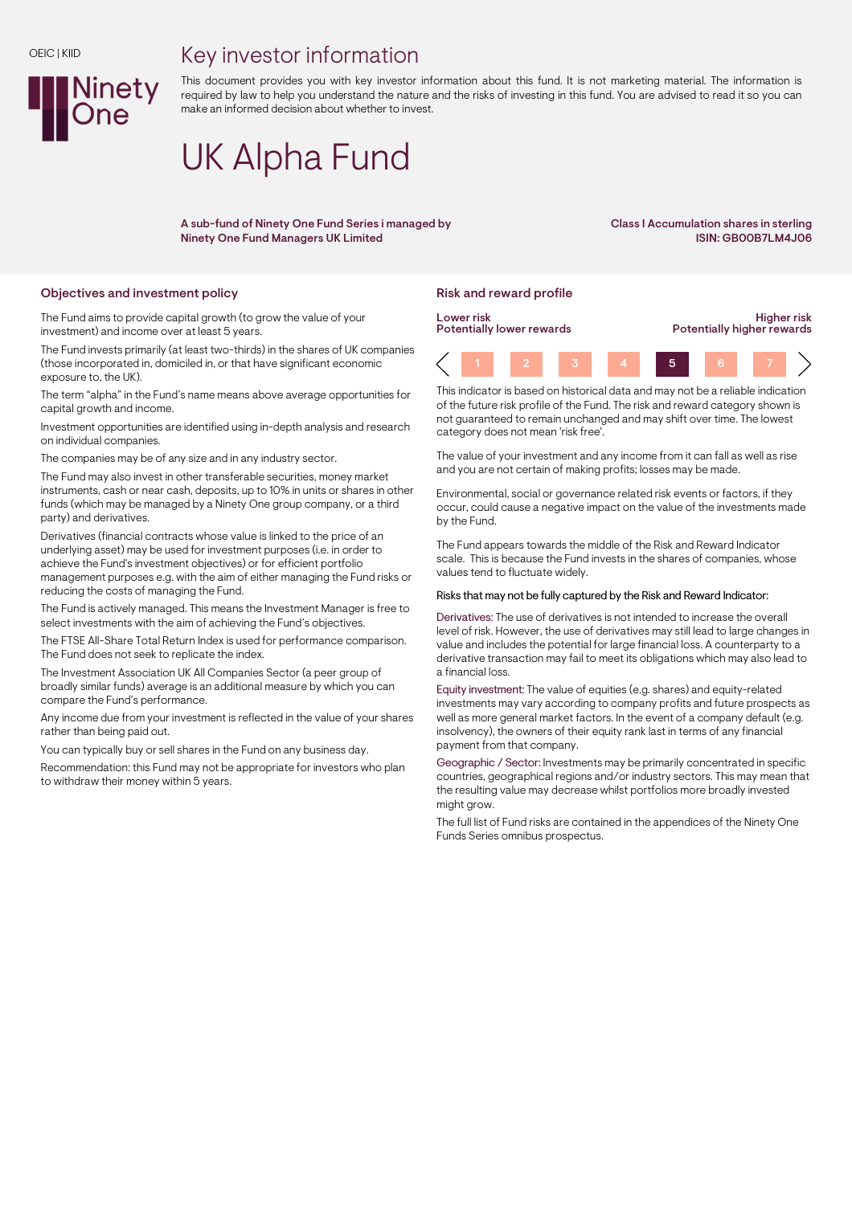#### OEIC | KIID

## Key investor information



This document provides you with key investor information about this fund. It is not marketing material. The information is required by law to help you understand the nature and the risks of investing in this fund. You are advised to read it so you can make an informed decision about whether to invest.

# UK Alpha Fund

A sub-fund of Ninety One Fund Series i managed by Ninety One Fund Managers UK Limited

Class I Accumulation shares in sterling ISIN: GB00B7LM4J06

### Objectives and investment policy **Risk and reward profile** Risk and reward profile

The Fund aims to provide capital growth (to grow the value of your investment) and income over at least 5 years.

The Fund invests primarily (at least two-thirds) in the shares of UK companies (those incorporated in, domiciled in, or that have significant economic exposure to, the UK).

The term "alpha" in the Fund's name means above average opportunities for capital growth and income.

Investment opportunities are identified using in-depth analysis and research on individual companies.

The companies may be of any size and in any industry sector.

The Fund may also invest in other transferable securities, money market instruments, cash or near cash, deposits, up to 10% in units or shares in other funds (which may be managed by a Ninety One group company, or a third party) and derivatives.

Derivatives (financial contracts whose value is linked to the price of an underlying asset) may be used for investment purposes (i.e. in order to achieve the Fund's investment objectives) or for efficient portfolio management purposes e.g. with the aim of either managing the Fund risks or reducing the costs of managing the Fund.

The Fund is actively managed. This means the Investment Manager is free to select investments with the aim of achieving the Fund's objectives.

The FTSE All-Share Total Return Index is used for performance comparison. The Fund does not seek to replicate the index.

The Investment Association UK All Companies Sector (a peer group of broadly similar funds) average is an additional measure by which you can compare the Fund's performance.

Any income due from your investment is reflected in the value of your shares rather than being paid out.

You can typically buy or sell shares in the Fund on any business day.

Recommendation: this Fund may not be appropriate for investors who plan to withdraw their money within 5 years.



This indicator is based on historical data and may not be a reliable indication of the future risk profile of the Fund. The risk and reward category shown is not guaranteed to remain unchanged and may shift over time. The lowest category does not mean 'risk free'.

The value of your investment and any income from it can fall as well as rise and you are not certain of making profits; losses may be made.

Environmental, social or governance related risk events or factors, if they occur, could cause a negative impact on the value of the investments made by the Fund.

The Fund appears towards the middle of the Risk and Reward Indicator scale. This is because the Fund invests in the shares of companies, whose values tend to fluctuate widely.

#### Risks that may not be fully captured by the Risk and Reward Indicator:

Derivatives: The use of derivatives is not intended to increase the overall level of risk. However, the use of derivatives may still lead to large changes in value and includes the potential for large financial loss. A counterparty to a derivative transaction may fail to meet its obligations which may also lead to a financial loss.

Equity investment: The value of equities (e.g. shares) and equity-related investments may vary according to company profits and future prospects as well as more general market factors. In the event of a company default (e.g. insolvency), the owners of their equity rank last in terms of any financial payment from that company.

Geographic / Sector: Investments may be primarily concentrated in specific countries, geographical regions and/or industry sectors. This may mean that the resulting value may decrease whilst portfolios more broadly invested might grow.

The full list of Fund risks are contained in the appendices of the Ninety One Funds Series omnibus prospectus.